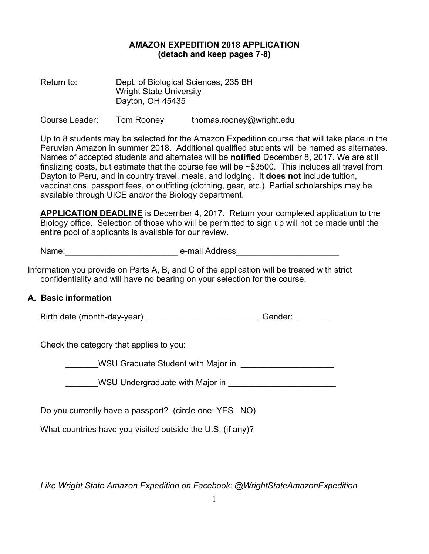## **AMAZON EXPEDITION 2018 APPLICATION (detach and keep pages 7-8)**

Return to: Dept. of Biological Sciences, 235 BH Wright State University Dayton, OH 45435

Course Leader: Tom Rooney thomas.rooney@wright.edu

Up to 8 students may be selected for the Amazon Expedition course that will take place in the Peruvian Amazon in summer 2018. Additional qualified students will be named as alternates. Names of accepted students and alternates will be **notified** December 8, 2017. We are still finalizing costs, but estimate that the course fee will be ~\$3500. This includes all travel from Dayton to Peru, and in country travel, meals, and lodging. It **does not** include tuition, vaccinations, passport fees, or outfitting (clothing, gear, etc.). Partial scholarships may be available through UICE and/or the Biology department.

**APPLICATION DEADLINE** is December 4, 2017. Return your completed application to the Biology office. Selection of those who will be permitted to sign up will not be made until the entire pool of applicants is available for our review.

| Name: | e-mail Address |
|-------|----------------|
|       |                |

Information you provide on Parts A, B, and C of the application will be treated with strict confidentiality and will have no bearing on your selection for the course.

## **A. Basic information**

Birth date (month-day-year) \_\_\_\_\_\_\_\_\_\_\_\_\_\_\_\_\_\_\_\_\_\_\_\_\_\_\_\_\_\_\_\_Gender: \_\_\_\_\_\_\_\_\_\_\_

Check the category that applies to you:

\_\_\_\_\_\_\_WSU Graduate Student with Major in \_\_\_\_\_\_\_\_\_\_\_\_\_\_\_\_\_\_\_\_

WSU Undergraduate with Major in **WISU** 

Do you currently have a passport? (circle one: YES NO)

What countries have you visited outside the U.S. (if any)?

*Like Wright State Amazon Expedition on Facebook: @WrightStateAmazonExpedition*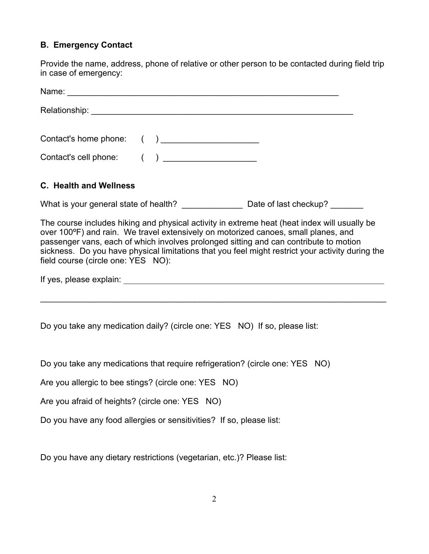# **B. Emergency Contact**

Provide the name, address, phone of relative or other person to be contacted during field trip in case of emergency:

| Name: <u>2000 - 2000 - 2000 - 2000 - 2000 - 2000 - 2000 - 2000 - 2000 - 2000 - 2000 - 2000 - 2000 - 2000 - 2000 - 2000 - 2000 - 2000 - 2000 - 2000 - 2000 - 2000 - 2000 - 2000 - 2000 - 2000 - 2000 - 2000 - 2000 - 2000 - 2000 </u>                                                                                                                                                                                  |
|-----------------------------------------------------------------------------------------------------------------------------------------------------------------------------------------------------------------------------------------------------------------------------------------------------------------------------------------------------------------------------------------------------------------------|
|                                                                                                                                                                                                                                                                                                                                                                                                                       |
| Contact's home phone: () ______________________                                                                                                                                                                                                                                                                                                                                                                       |
| Contact's cell phone: ( ) _____________________                                                                                                                                                                                                                                                                                                                                                                       |
| <b>C. Health and Wellness</b>                                                                                                                                                                                                                                                                                                                                                                                         |
| What is your general state of health? _________________________ Date of last checkup? _________                                                                                                                                                                                                                                                                                                                       |
| The course includes hiking and physical activity in extreme heat (heat index will usually be<br>over 100°F) and rain. We travel extensively on motorized canoes, small planes, and<br>passenger vans, each of which involves prolonged sitting and can contribute to motion<br>sickness. Do you have physical limitations that you feel might restrict your activity during the<br>field course (circle one: YES NO): |
|                                                                                                                                                                                                                                                                                                                                                                                                                       |
|                                                                                                                                                                                                                                                                                                                                                                                                                       |
| Do you take any medication daily? (circle one: YES NO) If so, please list:                                                                                                                                                                                                                                                                                                                                            |

Do you take any medications that require refrigeration? (circle one: YES NO)

Are you allergic to bee stings? (circle one: YES NO)

Are you afraid of heights? (circle one: YES NO)

Do you have any food allergies or sensitivities? If so, please list:

Do you have any dietary restrictions (vegetarian, etc.)? Please list: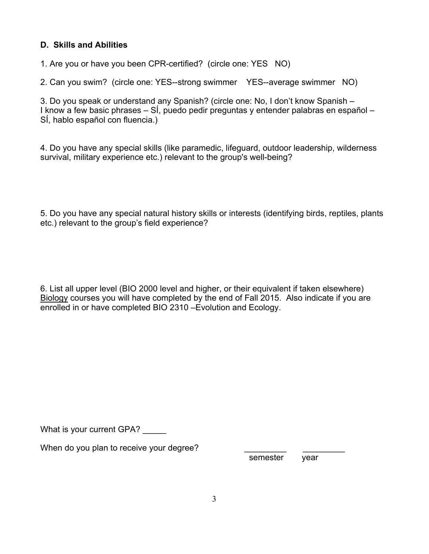# **D. Skills and Abilities**

1. Are you or have you been CPR-certified? (circle one: YES NO)

2. Can you swim? (circle one: YES--strong swimmer YES--average swimmer NO)

3. Do you speak or understand any Spanish? (circle one: No, I don't know Spanish – I know a few basic phrases – SÍ, puedo pedir preguntas y entender palabras en español – SÍ, hablo español con fluencia.)

4. Do you have any special skills (like paramedic, lifeguard, outdoor leadership, wilderness survival, military experience etc.) relevant to the group's well-being?

5. Do you have any special natural history skills or interests (identifying birds, reptiles, plants etc.) relevant to the group's field experience?

6. List all upper level (BIO 2000 level and higher, or their equivalent if taken elsewhere) Biology courses you will have completed by the end of Fall 2015. Also indicate if you are enrolled in or have completed BIO 2310 –Evolution and Ecology.

What is your current GPA?

When do you plan to receive your degree?

semester vear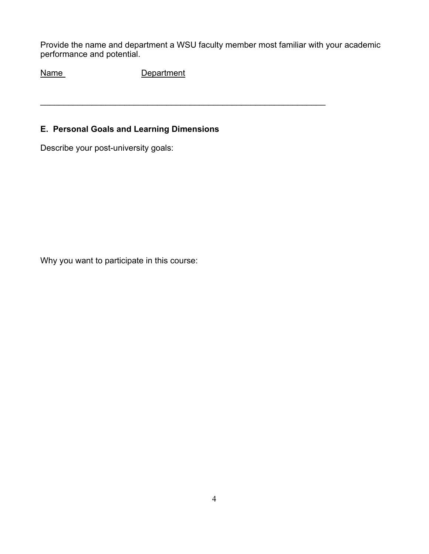Provide the name and department a WSU faculty member most familiar with your academic performance and potential.

 $\mathcal{L}_\text{max}$  , and the contract of the contract of the contract of the contract of the contract of the contract of

Name Department

# **E. Personal Goals and Learning Dimensions**

Describe your post-university goals:

Why you want to participate in this course: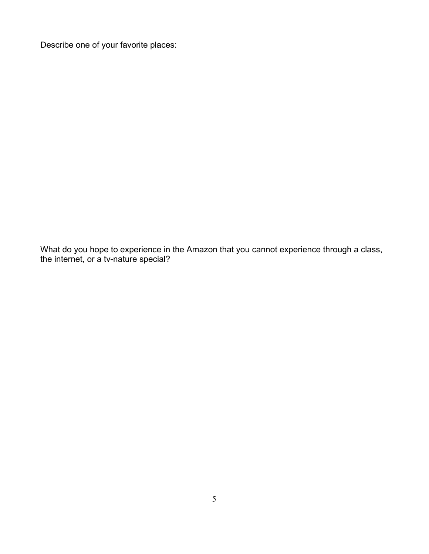Describe one of your favorite places:

What do you hope to experience in the Amazon that you cannot experience through a class, the internet, or a tv-nature special?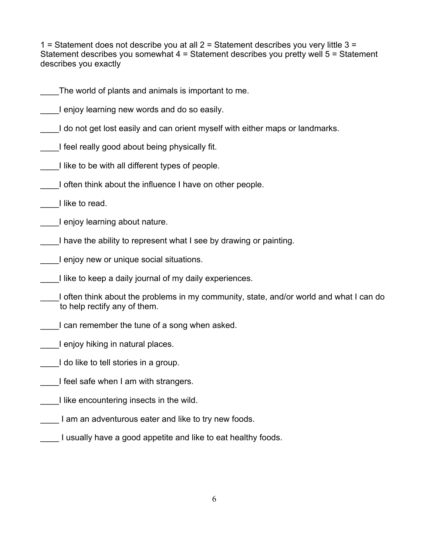1 = Statement does not describe you at all  $2$  = Statement describes you very little  $3$  = Statement describes you somewhat 4 = Statement describes you pretty well 5 = Statement describes you exactly

- The world of plants and animals is important to me.
- I enjoy learning new words and do so easily.
- I do not get lost easily and can orient myself with either maps or landmarks.
- I feel really good about being physically fit.
- I like to be with all different types of people.
- I often think about the influence I have on other people.
- \_\_\_\_I like to read.
- \_\_\_\_I enjoy learning about nature.
- I have the ability to represent what I see by drawing or painting.
- I enjoy new or unique social situations.
- I like to keep a daily journal of my daily experiences.
- I often think about the problems in my community, state, and/or world and what I can do to help rectify any of them.
- I can remember the tune of a song when asked.
- \_\_\_\_I enjoy hiking in natural places.
- I do like to tell stories in a group.
- I feel safe when I am with strangers.
- I like encountering insects in the wild.
- I am an adventurous eater and like to try new foods.
- \_\_\_\_ I usually have a good appetite and like to eat healthy foods.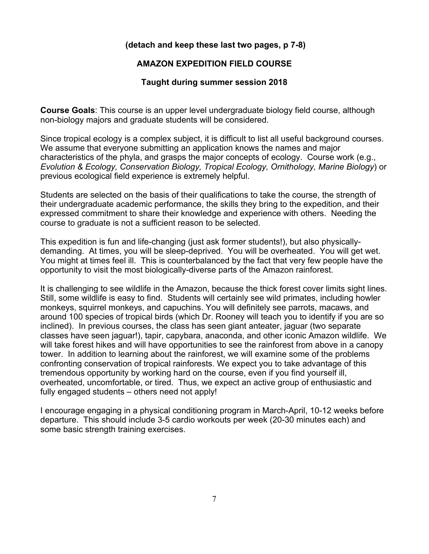### **(detach and keep these last two pages, p 7-8)**

### **AMAZON EXPEDITION FIELD COURSE**

#### **Taught during summer session 2018**

**Course Goals**: This course is an upper level undergraduate biology field course, although non-biology majors and graduate students will be considered.

Since tropical ecology is a complex subject, it is difficult to list all useful background courses. We assume that everyone submitting an application knows the names and major characteristics of the phyla, and grasps the major concepts of ecology. Course work (e.g., *Evolution & Ecology, Conservation Biology, Tropical Ecology, Ornithology, Marine Biology*) or previous ecological field experience is extremely helpful.

Students are selected on the basis of their qualifications to take the course, the strength of their undergraduate academic performance, the skills they bring to the expedition, and their expressed commitment to share their knowledge and experience with others. Needing the course to graduate is not a sufficient reason to be selected.

This expedition is fun and life-changing (just ask former students!), but also physicallydemanding. At times, you will be sleep-deprived. You will be overheated. You will get wet. You might at times feel ill. This is counterbalanced by the fact that very few people have the opportunity to visit the most biologically-diverse parts of the Amazon rainforest.

It is challenging to see wildlife in the Amazon, because the thick forest cover limits sight lines. Still, some wildlife is easy to find. Students will certainly see wild primates, including howler monkeys, squirrel monkeys, and capuchins. You will definitely see parrots, macaws, and around 100 species of tropical birds (which Dr. Rooney will teach you to identify if you are so inclined). In previous courses, the class has seen giant anteater, jaguar (two separate classes have seen jaguar!), tapir, capybara, anaconda, and other iconic Amazon wildlife. We will take forest hikes and will have opportunities to see the rainforest from above in a canopy tower. In addition to learning about the rainforest, we will examine some of the problems confronting conservation of tropical rainforests. We expect you to take advantage of this tremendous opportunity by working hard on the course, even if you find yourself ill, overheated, uncomfortable, or tired. Thus, we expect an active group of enthusiastic and fully engaged students – others need not apply!

I encourage engaging in a physical conditioning program in March-April, 10-12 weeks before departure. This should include 3-5 cardio workouts per week (20-30 minutes each) and some basic strength training exercises.